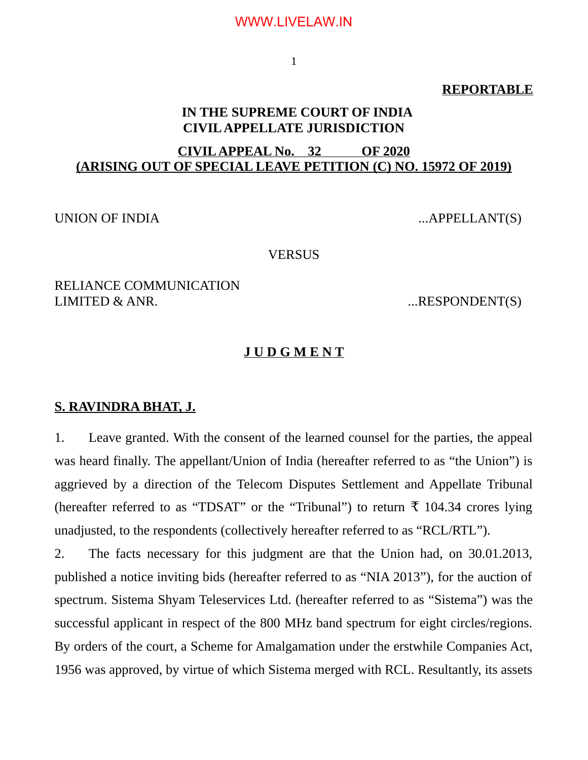1

#### **REPORTABLE**

# **IN THE SUPREME COURT OF INDIA CIVIL APPELLATE JURISDICTION**

# **CIVIL APPEAL No. 32 OF 2020 (ARISING OUT OF SPECIAL LEAVE PETITION (C) NO. 15972 OF 2019)**

UNION OF INDIA ...APPELLANT(S)

#### **VERSUS**

RELIANCE COMMUNICATION LIMITED & ANR. 2008. THE SPONDENT(S)

#### **J U D G M E N T**

#### **S. RAVINDRA BHAT, J.**

1. Leave granted. With the consent of the learned counsel for the parties, the appeal was heard finally. The appellant/Union of India (hereafter referred to as "the Union") is aggrieved by a direction of the Telecom Disputes Settlement and Appellate Tribunal (hereafter referred to as "TDSAT" or the "Tribunal") to return  $\bar{\tau}$  104.34 crores lying unadjusted, to the respondents (collectively hereafter referred to as "RCL/RTL").

2. The facts necessary for this judgment are that the Union had, on 30.01.2013, published a notice inviting bids (hereafter referred to as "NIA 2013"), for the auction of spectrum. Sistema Shyam Teleservices Ltd. (hereafter referred to as "Sistema") was the successful applicant in respect of the 800 MHz band spectrum for eight circles/regions. By orders of the court, a Scheme for Amalgamation under the erstwhile Companies Act, 1956 was approved, by virtue of which Sistema merged with RCL. Resultantly, its assets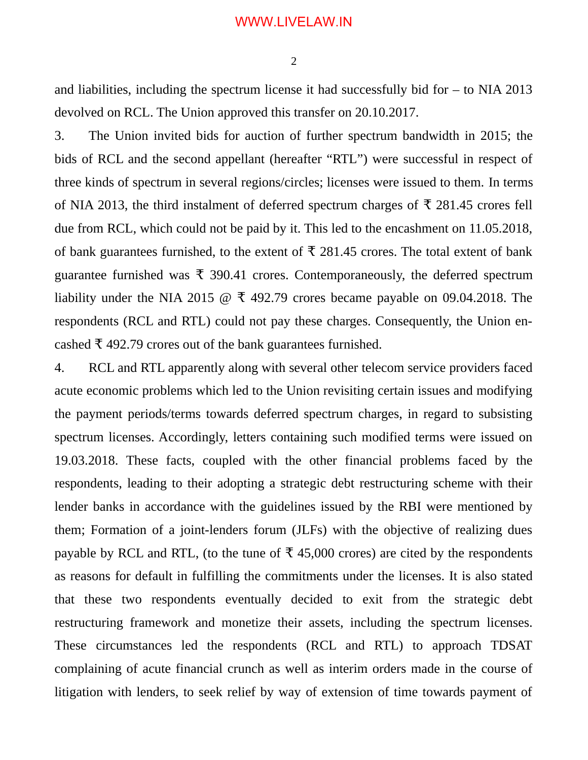2

and liabilities, including the spectrum license it had successfully bid for  $-$  to NIA 2013 devolved on RCL. The Union approved this transfer on 20.10.2017.

3. The Union invited bids for auction of further spectrum bandwidth in 2015; the bids of RCL and the second appellant (hereafter "RTL") were successful in respect of three kinds of spectrum in several regions/circles; licenses were issued to them. In terms of NIA 2013, the third instalment of deferred spectrum charges of  $\bar{\tau}$  281.45 crores fell due from RCL, which could not be paid by it. This led to the encashment on 11.05.2018, of bank guarantees furnished, to the extent of  $\bar{\tau}$  281.45 crores. The total extent of bank guarantee furnished was  $\bar{\tau}$  390.41 crores. Contemporaneously, the deferred spectrum liability under the NIA 2015  $\omega \bar{\tau}$  492.79 crores became payable on 09.04.2018. The respondents (RCL and RTL) could not pay these charges. Consequently, the Union encashed  $\bar{\tau}$  492.79 crores out of the bank guarantees furnished.

4. RCL and RTL apparently along with several other telecom service providers faced acute economic problems which led to the Union revisiting certain issues and modifying the payment periods/terms towards deferred spectrum charges, in regard to subsisting spectrum licenses. Accordingly, letters containing such modified terms were issued on 19.03.2018. These facts, coupled with the other financial problems faced by the respondents, leading to their adopting a strategic debt restructuring scheme with their lender banks in accordance with the guidelines issued by the RBI were mentioned by them; Formation of a joint-lenders forum (JLFs) with the objective of realizing dues payable by RCL and RTL, (to the tune of  $\bar{\tau}$  45,000 crores) are cited by the respondents as reasons for default in fulfilling the commitments under the licenses. It is also stated that these two respondents eventually decided to exit from the strategic debt restructuring framework and monetize their assets, including the spectrum licenses. These circumstances led the respondents (RCL and RTL) to approach TDSAT complaining of acute financial crunch as well as interim orders made in the course of litigation with lenders, to seek relief by way of extension of time towards payment of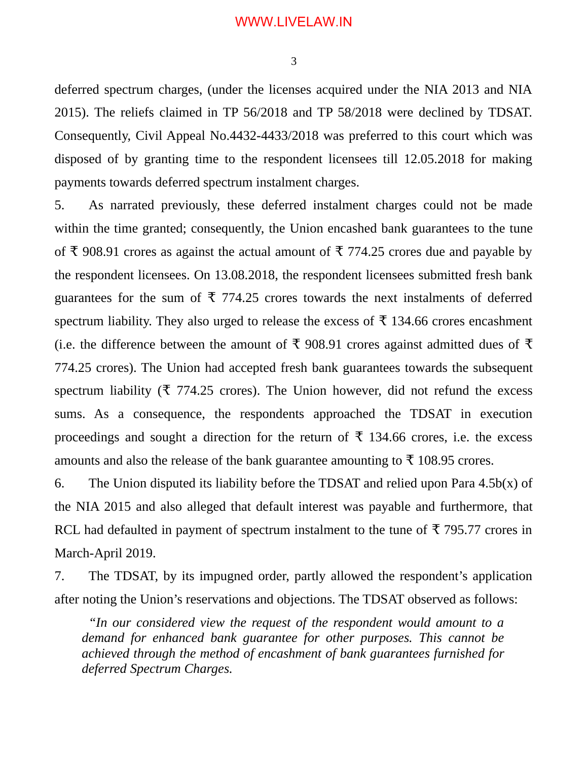deferred spectrum charges, (under the licenses acquired under the NIA 2013 and NIA 2015). The reliefs claimed in TP 56/2018 and TP 58/2018 were declined by TDSAT. Consequently, Civil Appeal No.4432-4433/2018 was preferred to this court which was disposed of by granting time to the respondent licensees till 12.05.2018 for making payments towards deferred spectrum instalment charges.

5. As narrated previously, these deferred instalment charges could not be made within the time granted; consequently, the Union encashed bank guarantees to the tune of ₹ 908.91 crores as against the actual amount of ₹ 774.25 crores due and payable by the respondent licensees. On 13.08.2018, the respondent licensees submitted fresh bank guarantees for the sum of  $\bar{\tau}$  774.25 crores towards the next instalments of deferred spectrum liability. They also urged to release the excess of  $\bar{\tau}$  134.66 crores encashment (i.e. the difference between the amount of  $\bar{\tau}$  908.91 crores against admitted dues of  $\bar{\tau}$ 774.25 crores). The Union had accepted fresh bank guarantees towards the subsequent spectrum liability ( $\bar{\tau}$  774.25 crores). The Union however, did not refund the excess sums. As a consequence, the respondents approached the TDSAT in execution proceedings and sought a direction for the return of  $\bar{\tau}$  134.66 crores, i.e. the excess amounts and also the release of the bank guarantee amounting to  $\bar{\tau}$  108.95 crores.

6. The Union disputed its liability before the TDSAT and relied upon Para  $4.5b(x)$  of the NIA 2015 and also alleged that default interest was payable and furthermore, that RCL had defaulted in payment of spectrum instalment to the tune of  $\bar{\tau}$  795.77 crores in March-April 2019.

7. The TDSAT, by its impugned order, partly allowed the respondent's application after noting the Union's reservations and objections. The TDSAT observed as follows:

*"In our considered view the request of the respondent would amount to a demand for enhanced bank guarantee for other purposes. This cannot be achieved through the method of encashment of bank guarantees furnished for deferred Spectrum Charges.*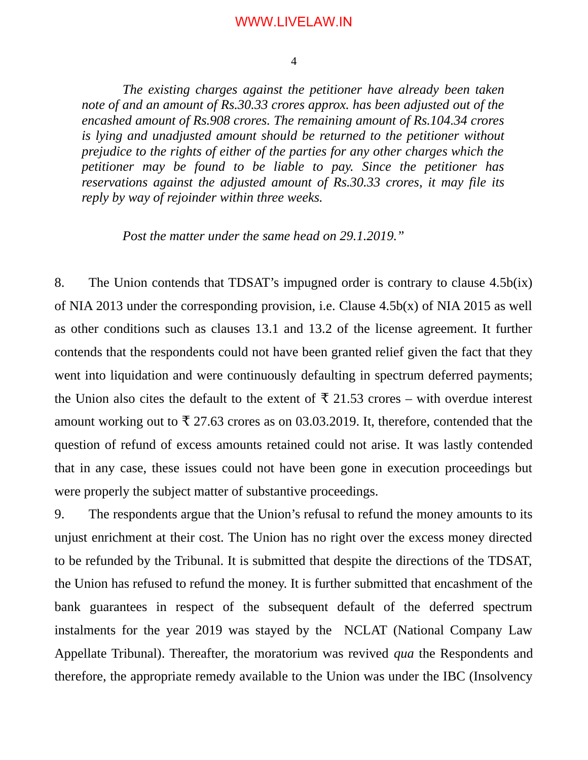4

*The existing charges against the petitioner have already been taken note of and an amount of Rs.30.33 crores approx. has been adjusted out of the encashed amount of Rs.908 crores. The remaining amount of Rs.104.34 crores is lying and unadjusted amount should be returned to the petitioner without prejudice to the rights of either of the parties for any other charges which the petitioner may be found to be liable to pay. Since the petitioner has reservations against the adjusted amount of Rs.30.33 crores, it may file its reply by way of rejoinder within three weeks.* 

*Post the matter under the same head on 29.1.2019."*

8. The Union contends that TDSAT's impugned order is contrary to clause 4.5b(ix) of NIA 2013 under the corresponding provision, i.e. Clause 4.5b(x) of NIA 2015 as well as other conditions such as clauses 13.1 and 13.2 of the license agreement. It further contends that the respondents could not have been granted relief given the fact that they went into liquidation and were continuously defaulting in spectrum deferred payments; the Union also cites the default to the extent of  $\bar{\tau}$  21.53 crores – with overdue interest amount working out to  $\bar{\tau}$  27.63 crores as on 03.03.2019. It, therefore, contended that the question of refund of excess amounts retained could not arise. It was lastly contended that in any case, these issues could not have been gone in execution proceedings but were properly the subject matter of substantive proceedings.

9. The respondents argue that the Union's refusal to refund the money amounts to its unjust enrichment at their cost. The Union has no right over the excess money directed to be refunded by the Tribunal. It is submitted that despite the directions of the TDSAT, the Union has refused to refund the money. It is further submitted that encashment of the bank guarantees in respect of the subsequent default of the deferred spectrum instalments for the year 2019 was stayed by the NCLAT (National Company Law Appellate Tribunal). Thereafter, the moratorium was revived *qua* the Respondents and therefore, the appropriate remedy available to the Union was under the IBC (Insolvency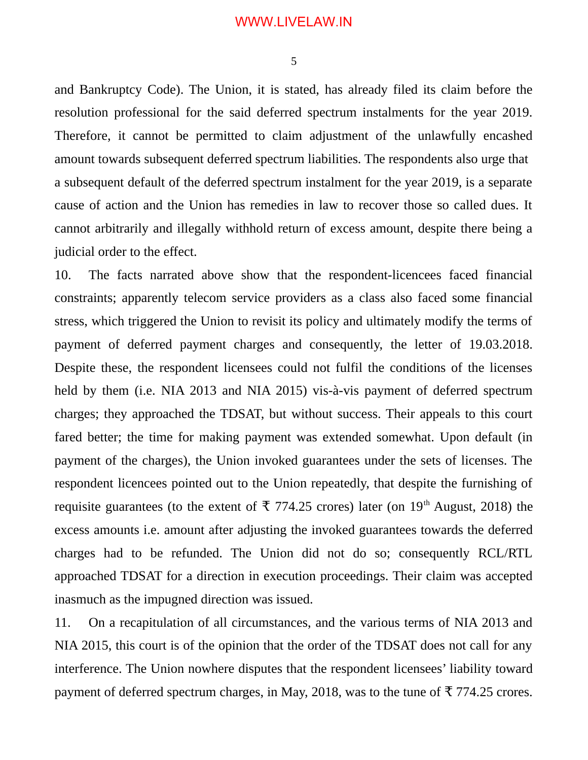5

and Bankruptcy Code). The Union, it is stated, has already filed its claim before the resolution professional for the said deferred spectrum instalments for the year 2019. Therefore, it cannot be permitted to claim adjustment of the unlawfully encashed amount towards subsequent deferred spectrum liabilities. The respondents also urge that a subsequent default of the deferred spectrum instalment for the year 2019, is a separate cause of action and the Union has remedies in law to recover those so called dues. It cannot arbitrarily and illegally withhold return of excess amount, despite there being a judicial order to the effect.

10. The facts narrated above show that the respondent-licencees faced financial constraints; apparently telecom service providers as a class also faced some financial stress, which triggered the Union to revisit its policy and ultimately modify the terms of payment of deferred payment charges and consequently, the letter of 19.03.2018. Despite these, the respondent licensees could not fulfil the conditions of the licenses held by them (i.e. NIA 2013 and NIA 2015) vis-à-vis payment of deferred spectrum charges; they approached the TDSAT, but without success. Their appeals to this court fared better; the time for making payment was extended somewhat. Upon default (in payment of the charges), the Union invoked guarantees under the sets of licenses. The respondent licencees pointed out to the Union repeatedly, that despite the furnishing of requisite guarantees (to the extent of  $\bar{\tau}$  774.25 crores) later (on 19<sup>th</sup> August, 2018) the excess amounts i.e. amount after adjusting the invoked guarantees towards the deferred charges had to be refunded. The Union did not do so; consequently RCL/RTL approached TDSAT for a direction in execution proceedings. Their claim was accepted inasmuch as the impugned direction was issued.

11. On a recapitulation of all circumstances, and the various terms of NIA 2013 and NIA 2015, this court is of the opinion that the order of the TDSAT does not call for any interference. The Union nowhere disputes that the respondent licensees' liability toward payment of deferred spectrum charges, in May, 2018, was to the tune of  $\bar{\tau}$  774.25 crores.